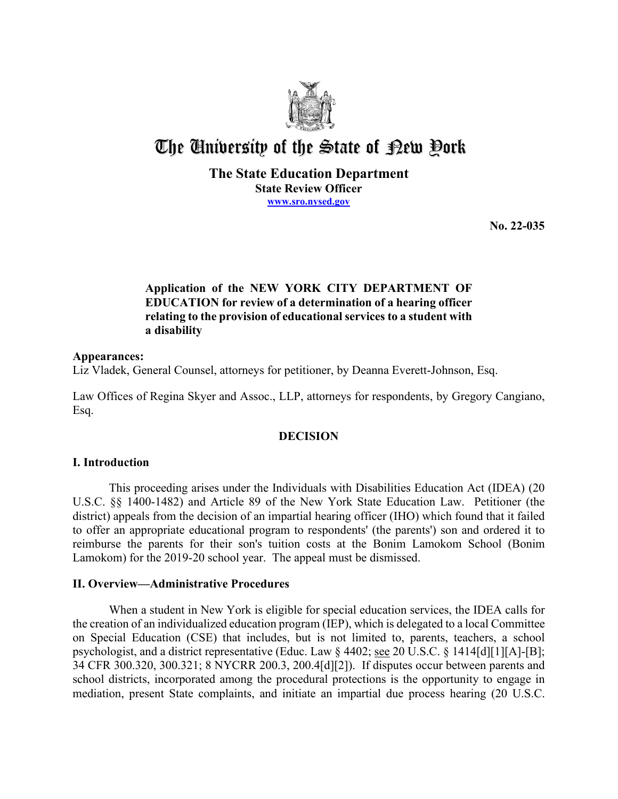

# The University of the State of Pew Pork

## **The State Education Department State Review Officer [www.sro.nysed.gov](http://www.sro.nysed.gov/)**

**No. 22-035** 

# **Application of the NEW YORK CITY DEPARTMENT OF EDUCATION for review of a determination of a hearing officer relating to the provision of educational services to a student with a disability**

## **Appearances:**

Liz Vladek, General Counsel, attorneys for petitioner, by Deanna Everett-Johnson, Esq.

Law Offices of Regina Skyer and Assoc., LLP, attorneys for respondents, by Gregory Cangiano, Esq.

## **DECISION**

## **I. Introduction**

 reimburse the parents for their son's tuition costs at the Bonim Lamokom School (Bonim Lamokom) for the 2019-20 school year. The appeal must be dismissed. This proceeding arises under the Individuals with Disabilities Education Act (IDEA) (20 U.S.C. §§ 1400-1482) and Article 89 of the New York State Education Law. Petitioner (the district) appeals from the decision of an impartial hearing officer (IHO) which found that it failed to offer an appropriate educational program to respondents' (the parents') son and ordered it to

## **II. Overview—Administrative Procedures**

 the creation of an individualized education program (IEP), which is delegated to a local Committee on Special Education (CSE) that includes, but is not limited to, parents, teachers, a school When a student in New York is eligible for special education services, the IDEA calls for psychologist, and a district representative (Educ. Law § 4402; see 20 U.S.C. § 1414[d][1][A]-[B]; 34 CFR 300.320, 300.321; 8 NYCRR 200.3, 200.4[d][2]). If disputes occur between parents and school districts, incorporated among the procedural protections is the opportunity to engage in mediation, present State complaints, and initiate an impartial due process hearing (20 U.S.C.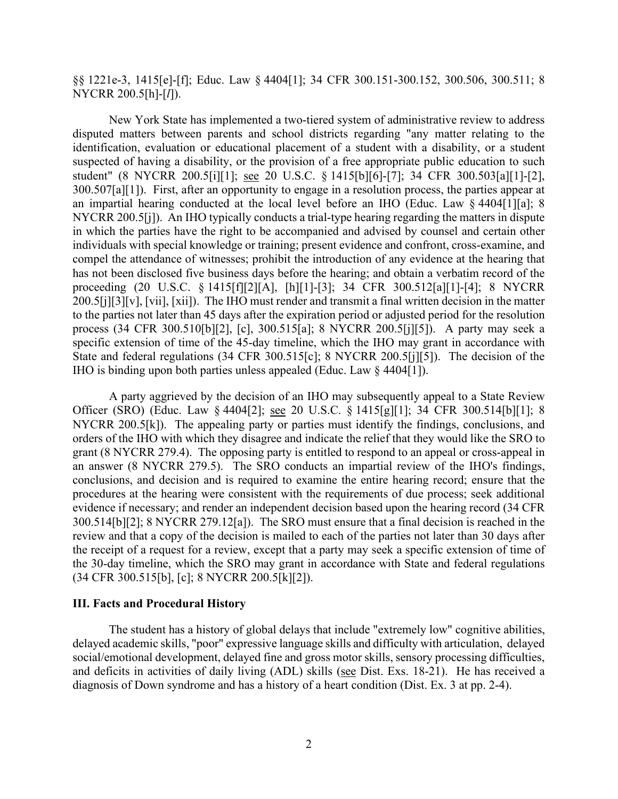§§ 1221e-3, 1415[e]-[f]; Educ. Law § 4404[1]; 34 CFR 300.151-300.152, 300.506, 300.511; 8 NYCRR 200.5[h]-[*l*]).

 disputed matters between parents and school districts regarding "any matter relating to the 300.507[a][1]). First, after an opportunity to engage in a resolution process, the parties appear at NYCRR 200.5[j]). An IHO typically conducts a trial-type hearing regarding the matters in dispute process (34 CFR 300.510[b][2], [c], 300.515[a]; 8 NYCRR 200.5[j][5]). A party may seek a IHO is binding upon both parties unless appealed (Educ. Law § 4404[1]). New York State has implemented a two-tiered system of administrative review to address identification, evaluation or educational placement of a student with a disability, or a student suspected of having a disability, or the provision of a free appropriate public education to such student" (8 NYCRR 200.5[i][1]; see 20 U.S.C. § 1415[b][6]-[7]; 34 CFR 300.503[a][1]-[2], an impartial hearing conducted at the local level before an IHO (Educ. Law § 4404[1][a]; 8 in which the parties have the right to be accompanied and advised by counsel and certain other individuals with special knowledge or training; present evidence and confront, cross-examine, and compel the attendance of witnesses; prohibit the introduction of any evidence at the hearing that has not been disclosed five business days before the hearing; and obtain a verbatim record of the proceeding (20 U.S.C. § 1415[f][2][A], [h][1]-[3]; 34 CFR 300.512[a][1]-[4]; 8 NYCRR 200.5[j][3][v], [vii], [xii]). The IHO must render and transmit a final written decision in the matter to the parties not later than 45 days after the expiration period or adjusted period for the resolution specific extension of time of the 45-day timeline, which the IHO may grant in accordance with State and federal regulations (34 CFR 300.515[c]; 8 NYCRR 200.5[j][5]). The decision of the

Officer (SRO) (Educ. Law § 4404[2]; <u>see</u> 20 U.S.C. § 1415[g][1]; 34 CFR 300.514[b][1]; 8 NYCRR 200.5[k]). The appealing party or parties must identify the findings, conclusions, and 300.514[b][2]; 8 NYCRR 279.12[a]). The SRO must ensure that a final decision is reached in the review and that a copy of the decision is mailed to each of the parties not later than 30 days after A party aggrieved by the decision of an IHO may subsequently appeal to a State Review orders of the IHO with which they disagree and indicate the relief that they would like the SRO to grant (8 NYCRR 279.4). The opposing party is entitled to respond to an appeal or cross-appeal in an answer (8 NYCRR 279.5). The SRO conducts an impartial review of the IHO's findings, conclusions, and decision and is required to examine the entire hearing record; ensure that the procedures at the hearing were consistent with the requirements of due process; seek additional evidence if necessary; and render an independent decision based upon the hearing record (34 CFR the receipt of a request for a review, except that a party may seek a specific extension of time of the 30-day timeline, which the SRO may grant in accordance with State and federal regulations (34 CFR 300.515[b], [c]; 8 NYCRR 200.5[k][2]).

## **III. Facts and Procedural History**

 social/emotional development, delayed fine and gross motor skills, sensory processing difficulties, and deficits in activities of daily living (ADL) skills (see Dist. Exs. 18-21). He has received a diagnosis of Down syndrome and has a history of a heart condition (Dist. Ex. 3 at pp. 2-4). The student has a history of global delays that include "extremely low" cognitive abilities, delayed academic skills, "poor" expressive language skills and difficulty with articulation, delayed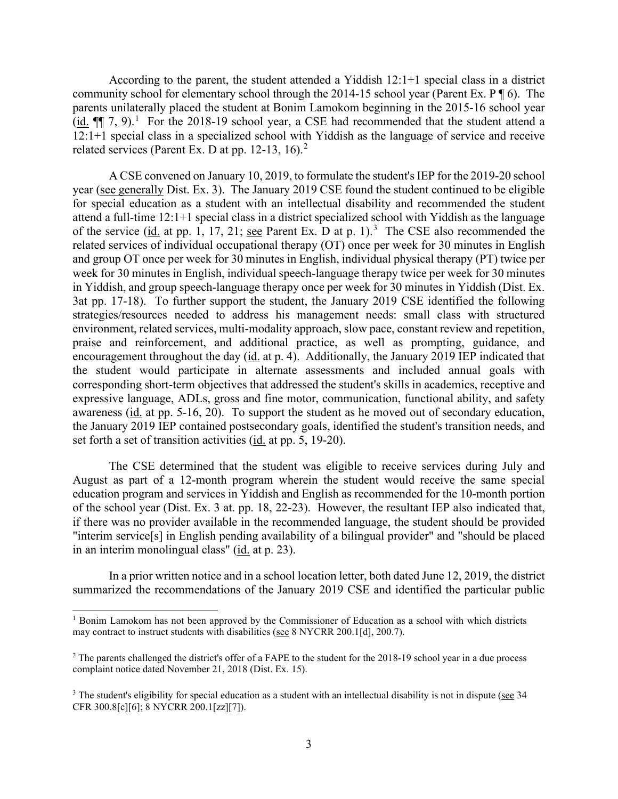(id.  $\P$  7, 9).<sup>1</sup> For the 2018-19 school year, a CSE had recommended that the student attend a 12:1+1 special class in a specialized school with Yiddish as the language of service and receive According to the parent, the student attended a Yiddish 12:1+1 special class in a district community school for elementary school through the 2014-15 school year (Parent Ex. P ¶ 6). The parents unilaterally placed the student at Bonim Lamokom beginning in the 2015-16 school year related services (Parent Ex. D at pp. 1[2](#page-2-1)-13, 16).<sup>2</sup>

year (see generally Dist. Ex. 3). The January 2019 CSE found the student continued to be eligible of the service (id. at pp. 1, 17, 21; see Parent Ex. D at p. 1).<sup>[3](#page-2-2)</sup> The CSE also recommended the 3at pp. 17-18). To further support the student, the January 2019 CSE identified the following the January 2019 IEP contained postsecondary goals, identified the student's transition needs, and A CSE convened on January 10, 2019, to formulate the student's IEP for the 2019-20 school for special education as a student with an intellectual disability and recommended the student attend a full-time 12:1+1 special class in a district specialized school with Yiddish as the language related services of individual occupational therapy (OT) once per week for 30 minutes in English and group OT once per week for 30 minutes in English, individual physical therapy (PT) twice per week for 30 minutes in English, individual speech-language therapy twice per week for 30 minutes in Yiddish, and group speech-language therapy once per week for 30 minutes in Yiddish (Dist. Ex. strategies/resources needed to address his management needs: small class with structured environment, related services, multi-modality approach, slow pace, constant review and repetition, praise and reinforcement, and additional practice, as well as prompting, guidance, and encouragement throughout the day (id. at p. 4). Additionally, the January 2019 IEP indicated that the student would participate in alternate assessments and included annual goals with corresponding short-term objectives that addressed the student's skills in academics, receptive and expressive language, ADLs, gross and fine motor, communication, functional ability, and safety awareness (id. at pp. 5-16, 20). To support the student as he moved out of secondary education, set forth a set of transition activities (id. at pp. 5, 19-20).

 of the school year (Dist. Ex. 3 at. pp. 18, 22-23). However, the resultant IEP also indicated that, in an interim monolingual class" (*id.* at p. 23). The CSE determined that the student was eligible to receive services during July and August as part of a 12-month program wherein the student would receive the same special education program and services in Yiddish and English as recommended for the 10-month portion if there was no provider available in the recommended language, the student should be provided "interim service[s] in English pending availability of a bilingual provider" and "should be placed

In a prior written notice and in a school location letter, both dated June 12, 2019, the district summarized the recommendations of the January 2019 CSE and identified the particular public

<span id="page-2-0"></span><sup>&</sup>lt;sup>1</sup> Bonim Lamokom has not been approved by the Commissioner of Education as a school with which districts may contract to instruct students with disabilities (see 8 NYCRR 200.1[d], 200.7).

<span id="page-2-1"></span> $2$  The parents challenged the district's offer of a FAPE to the student for the 2018-19 school year in a due process complaint notice dated November 21, 2018 (Dist. Ex. 15).

<span id="page-2-2"></span><sup>&</sup>lt;sup>3</sup> The student's eligibility for special education as a student with an intellectual disability is not in dispute (see 34 CFR 300.8[c][6]; 8 NYCRR 200.1[zz][7]).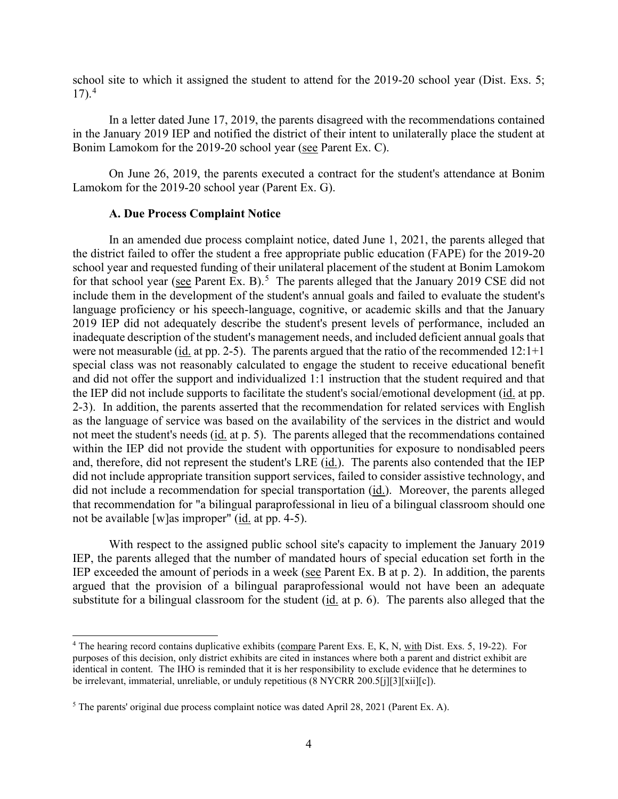school site to which it assigned the student to attend for the 2019-20 school year (Dist. Exs. 5;  $17)$ .<sup>4</sup>

Bonim Lamokom for the 2019-20 school year (see Parent Ex. C). In a letter dated June 17, 2019, the parents disagreed with the recommendations contained in the January 2019 IEP and notified the district of their intent to unilaterally place the student at

On June 26, 2019, the parents executed a contract for the student's attendance at Bonim Lamokom for the 2019-20 school year (Parent Ex. G).

#### **A. Due Process Complaint Notice**

 In an amended due process complaint notice, dated June 1, 2021, the parents alleged that the district failed to offer the student a free appropriate public education (FAPE) for the 2019-20 for that school year (see Parent Ex. B).<sup>5</sup> The parents alleged that the January 2019 CSE did not include them in the development of the student's annual goals and failed to evaluate the student's 2019 IEP did not adequately describe the student's present levels of performance, included an inadequate description of the student's management needs, and included deficient annual goals that were not measurable  $(id.$  at pp. 2-5). The parents argued that the ratio of the recommended  $12:1+1$ the IEP did not include supports to facilitate the student's social/emotional development (id. at pp. 2-3). In addition, the parents asserted that the recommendation for related services with English not meet the student's needs (id. at p. 5). The parents alleged that the recommendations contained and, therefore, did not represent the student's LRE (*id.*). The parents also contended that the IEP did not include a recommendation for special transportation (id.). Moreover, the parents alleged not be available [w]as improper" (*id.* at pp. 4-5). school year and requested funding of their unilateral placement of the student at Bonim Lamokom language proficiency or his speech-language, cognitive, or academic skills and that the January special class was not reasonably calculated to engage the student to receive educational benefit and did not offer the support and individualized 1:1 instruction that the student required and that as the language of service was based on the availability of the services in the district and would within the IEP did not provide the student with opportunities for exposure to nondisabled peers did not include appropriate transition support services, failed to consider assistive technology, and that recommendation for "a bilingual paraprofessional in lieu of a bilingual classroom should one

IEP exceeded the amount of periods in a week (see Parent Ex. B at  $p$ . 2). In addition, the parents substitute for a bilingual classroom for the student (id. at p. 6). The parents also alleged that the With respect to the assigned public school site's capacity to implement the January 2019 IEP, the parents alleged that the number of mandated hours of special education set forth in the argued that the provision of a bilingual paraprofessional would not have been an adequate

<span id="page-3-0"></span><sup>&</sup>lt;sup>4</sup> The hearing record contains duplicative exhibits (compare Parent Exs. E, K, N, with Dist. Exs. 5, 19-22). For purposes of this decision, only district exhibits are cited in instances where both a parent and district exhibit are identical in content. The IHO is reminded that it is her responsibility to exclude evidence that he determines to be irrelevant, immaterial, unreliable, or unduly repetitious (8 NYCRR 200.5[j][3][xii][c]).

<span id="page-3-1"></span><sup>5</sup> The parents' original due process complaint notice was dated April 28, 2021 (Parent Ex. A).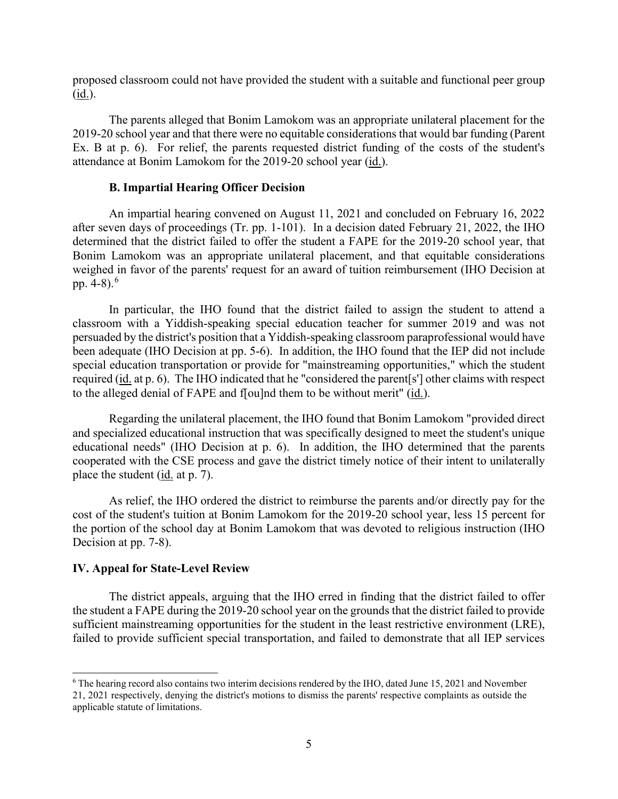proposed classroom could not have provided the student with a suitable and functional peer group (id.).

 The parents alleged that Bonim Lamokom was an appropriate unilateral placement for the attendance at Bonim Lamokom for the 2019-20 school year (id.). 2019-20 school year and that there were no equitable considerations that would bar funding (Parent Ex. B at p. 6). For relief, the parents requested district funding of the costs of the student's

### **B. Impartial Hearing Officer Decision**

 after seven days of proceedings (Tr. pp. 1-101). In a decision dated February 21, 2022, the IHO An impartial hearing convened on August 11, 2021 and concluded on February 16, 2022 determined that the district failed to offer the student a FAPE for the 2019-20 school year, that Bonim Lamokom was an appropriate unilateral placement, and that equitable considerations weighed in favor of the parents' request for an award of tuition reimbursement (IHO Decision at pp. 4-8). $^{6}$ 

In particular, the IHO found that the district failed to assign the student to attend a classroom with a Yiddish-speaking special education teacher for summer 2019 and was not persuaded by the district's position that a Yiddish-speaking classroom paraprofessional would have been adequate (IHO Decision at pp. 5-6). In addition, the IHO found that the IEP did not include special education transportation or provide for "mainstreaming opportunities," which the student required (id. at p. 6). The IHO indicated that he "considered the parent[s'] other claims with respect to the alleged denial of FAPE and f[ou]nd them to be without merit" (id.).

place the student (*id.* at p. 7). Regarding the unilateral placement, the IHO found that Bonim Lamokom "provided direct and specialized educational instruction that was specifically designed to meet the student's unique educational needs" (IHO Decision at p. 6). In addition, the IHO determined that the parents cooperated with the CSE process and gave the district timely notice of their intent to unilaterally

 cost of the student's tuition at Bonim Lamokom for the 2019-20 school year, less 15 percent for Decision at pp. 7-8). As relief, the IHO ordered the district to reimburse the parents and/or directly pay for the the portion of the school day at Bonim Lamokom that was devoted to religious instruction (IHO

## **IV. Appeal for State-Level Review**

 The district appeals, arguing that the IHO erred in finding that the district failed to offer the student a FAPE during the 2019-20 school year on the grounds that the district failed to provide sufficient mainstreaming opportunities for the student in the least restrictive environment (LRE), failed to provide sufficient special transportation, and failed to demonstrate that all IEP services

<span id="page-4-0"></span><sup>6</sup> The hearing record also contains two interim decisions rendered by the IHO, dated June 15, 2021 and November 21, 2021 respectively, denying the district's motions to dismiss the parents' respective complaints as outside the applicable statute of limitations.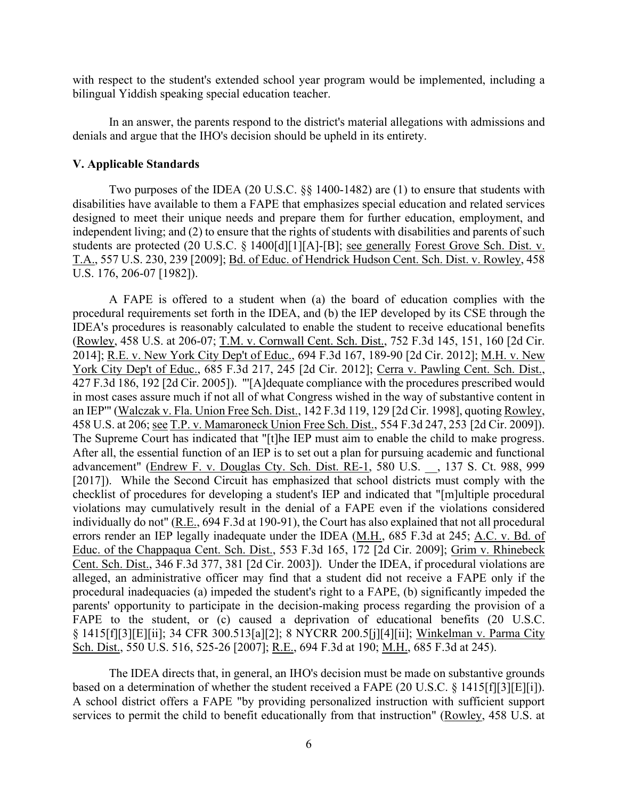with respect to the student's extended school year program would be implemented, including a bilingual Yiddish speaking special education teacher.

In an answer, the parents respond to the district's material allegations with admissions and denials and argue that the IHO's decision should be upheld in its entirety.

#### **V. Applicable Standards**

Two purposes of the IDEA (20 U.S.C. §§ 1400-1482) are (1) to ensure that students with disabilities have available to them a FAPE that emphasizes special education and related services designed to meet their unique needs and prepare them for further education, employment, and independent living; and (2) to ensure that the rights of students with disabilities and parents of such students are protected (20 U.S.C. § 1400[d][1][A]-[B]; see generally Forest Grove Sch. Dist. v. T.A., 557 U.S. 230, 239 [2009]; Bd. of Educ. of Hendrick Hudson Cent. Sch. Dist. v. Rowley, 458 U.S. 176, 206-07 [1982]).

 A FAPE is offered to a student when (a) the board of education complies with the 2014]; <u>R.E. v. New York City Dep't of Educ.</u>, 694 F.3d 167, 189-90 [2d Cir. 2012]; <u>M.H. v. New</u> 458 U.S. at 206; see T.P. v. Mamaroneck Union Free Sch. Dist., 554 F.3d 247, 253 [2d Cir. 2009]). parents' opportunity to participate in the decision-making process regarding the provision of a procedural requirements set forth in the IDEA, and (b) the IEP developed by its CSE through the IDEA's procedures is reasonably calculated to enable the student to receive educational benefits (Rowley, 458 U.S. at 206-07; T.M. v. Cornwall Cent. Sch. Dist., 752 F.3d 145, 151, 160 [2d Cir. York City Dep't of Educ., 685 F.3d 217, 245 [2d Cir. 2012]; Cerra v. Pawling Cent. Sch. Dist., 427 F.3d 186, 192 [2d Cir. 2005]). "'[A]dequate compliance with the procedures prescribed would in most cases assure much if not all of what Congress wished in the way of substantive content in an IEP'" (Walczak v. Fla. Union Free Sch. Dist., 142 F.3d 119, 129 [2d Cir. 1998], quoting Rowley, 458 U.S. at 206; <u>see T.P. v. Mamaroneck Union Free Sch. Dist.</u>, 554 F.3d 247, 253 [2d Cir. 2009]).<br>The Supreme Court has indicated that "[t]he IEP must aim to enable the child to make progress.<br>After all, the essential fu advancement" (Endrew F. v. Douglas Cty. Sch. Dist. RE-1, 580 U.S. \_\_, 137 S. Ct. 988, 999 [2017]). While the Second Circuit has emphasized that school districts must comply with the checklist of procedures for developing a student's IEP and indicated that "[m]ultiple procedural violations may cumulatively result in the denial of a FAPE even if the violations considered individually do not" (R.E., 694 F.3d at 190-91), the Court has also explained that not all procedural errors render an IEP legally inadequate under the IDEA (M.H., 685 F.3d at 245; A.C. v. Bd. of Educ. of the Chappaqua Cent. Sch. Dist., 553 F.3d 165, 172 [2d Cir. 2009]; Grim v. Rhinebeck Cent. Sch. Dist., 346 F.3d 377, 381 [2d Cir. 2003]). Under the IDEA, if procedural violations are alleged, an administrative officer may find that a student did not receive a FAPE only if the procedural inadequacies (a) impeded the student's right to a FAPE, (b) significantly impeded the FAPE to the student, or (c) caused a deprivation of educational benefits (20 U.S.C. § 1415[f][3][E][ii]; 34 CFR 300.513[a][2]; 8 NYCRR 200.5[j][4][ii]; Winkelman v. Parma City Sch. Dist., 550 U.S. 516, 525-26 [2007]; R.E., 694 F.3d at 190; M.H., 685 F.3d at 245).

based on a determination of whether the student received a FAPE  $(20 \text{ U.S.C.} \S 1415 \text{ [f]} \S \text{ [E]} \text{ [i]}).$ The IDEA directs that, in general, an IHO's decision must be made on substantive grounds A school district offers a FAPE "by providing personalized instruction with sufficient support services to permit the child to benefit educationally from that instruction" (Rowley, 458 U.S. at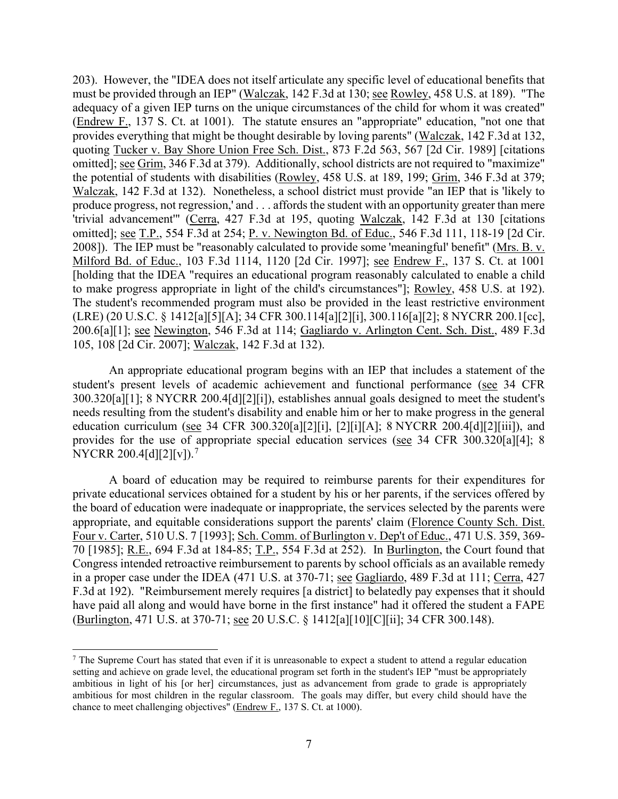adequacy of a given IEP turns on the unique circumstances of the child for whom it was created" produce progress, not regression,' and . . . affords the student with an opportunity greater than mere 200.6[a][1]; <u>see Newington,</u> 546 F.3d at 114; Gagliardo v. Arlington Cent. Sch. Dist., 489 F.3d 203). However, the "IDEA does not itself articulate any specific level of educational benefits that must be provided through an IEP" (Walczak, 142 F.3d at 130; see Rowley, 458 U.S. at 189). "The (Endrew F., 137 S. Ct. at 1001). The statute ensures an "appropriate" education, "not one that provides everything that might be thought desirable by loving parents" (Walczak, 142 F.3d at 132, quoting Tucker v. Bay Shore Union Free Sch. Dist., 873 F.2d 563, 567 [2d Cir. 1989] [citations omitted]; see Grim, 346 F.3d at 379). Additionally, school districts are not required to "maximize" the potential of students with disabilities (Rowley, 458 U.S. at 189, 199; Grim, 346 F.3d at 379; Walczak, 142 F.3d at 132). Nonetheless, a school district must provide "an IEP that is 'likely to 'trivial advancement'" (Cerra, 427 F.3d at 195, quoting Walczak, 142 F.3d at 130 [citations omitted]; see T.P., 554 F.3d at 254; P. v. Newington Bd. of Educ., 546 F.3d 111, 118-19 [2d Cir. 2008]). The IEP must be "reasonably calculated to provide some 'meaningful' benefit" (Mrs. B. v. Milford Bd. of Educ., 103 F.3d 1114, 1120 [2d Cir. 1997]; see Endrew F., 137 S. Ct. at 1001 [holding that the IDEA "requires an educational program reasonably calculated to enable a child to make progress appropriate in light of the child's circumstances"]; Rowley, 458 U.S. at 192). The student's recommended program must also be provided in the least restrictive environment (LRE) (20 U.S.C. § 1412[a][5][A]; 34 CFR 300.114[a][2][i], 300.116[a][2]; 8 NYCRR 200.1[cc], 105, 108 [2d Cir. 2007]; Walczak, 142 F.3d at 132).

An appropriate educational program begins with an IEP that includes a statement of the student's present levels of academic achievement and functional performance (see 34 CFR 300.320[a][1]; 8 NYCRR 200.4[d][2][i]), establishes annual goals designed to meet the student's needs resulting from the student's disability and enable him or her to make progress in the general education curriculum (see 34 CFR 300.320[a][2][i], [2][i][A]; 8 NYCRR 200.4[d][2][iii]), and provides for the use of appropriate special education services (see 34 CFR 300.320[a][4]; 8 NYCRR 200.4[d][2][v]).<sup>7</sup>

70 [1985]; R.E., 694 F.3d at 184-85; T.P., 554 F.3d at 252). In Burlington, the Court found that in a proper case under the IDEA (471 U.S. at 370-71; see Gagliardo, 489 F.3d at 111; Cerra, 427 (Burlington, 471 U.S. at 370-71; <u>see</u> 20 U.S.C. § 1412[a][10][C][ii]; 34 CFR 300.148). A board of education may be required to reimburse parents for their expenditures for private educational services obtained for a student by his or her parents, if the services offered by the board of education were inadequate or inappropriate, the services selected by the parents were appropriate, and equitable considerations support the parents' claim (Florence County Sch. Dist. Four v. Carter, 510 U.S. 7 [1993]; Sch. Comm. of Burlington v. Dep't of Educ., 471 U.S. 359, 369- Congress intended retroactive reimbursement to parents by school officials as an available remedy F.3d at 192). "Reimbursement merely requires [a district] to belatedly pay expenses that it should have paid all along and would have borne in the first instance" had it offered the student a FAPE

<span id="page-6-0"></span> ambitious in light of his [or her] circumstances, just as advancement from grade to grade is appropriately <sup>7</sup> The Supreme Court has stated that even if it is unreasonable to expect a student to attend a regular education setting and achieve on grade level, the educational program set forth in the student's IEP "must be appropriately ambitious for most children in the regular classroom. The goals may differ, but every child should have the chance to meet challenging objectives" (Endrew F., 137 S. Ct. at 1000).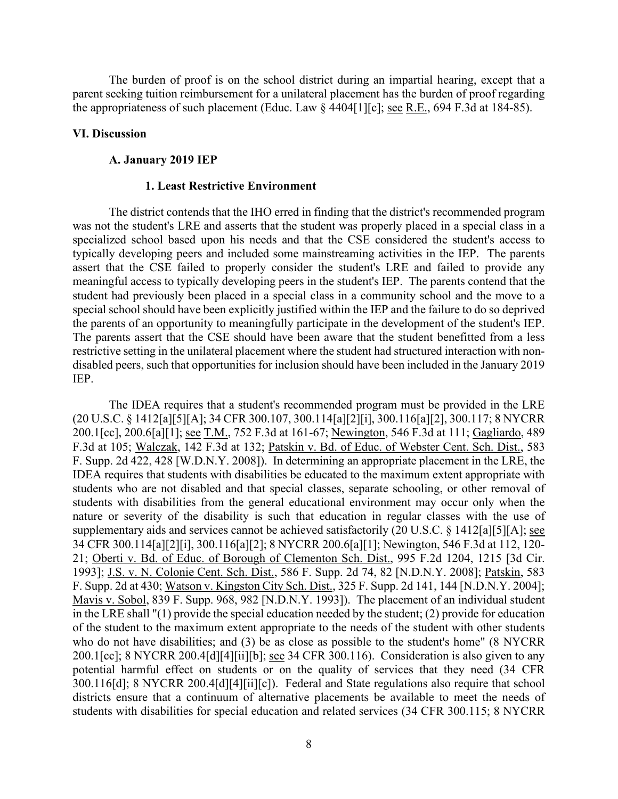the appropriateness of such placement (Educ. Law  $\S$  4404[1][c]; <u>see R.E.</u>, 694 F.3d at 184-85). The burden of proof is on the school district during an impartial hearing, except that a parent seeking tuition reimbursement for a unilateral placement has the burden of proof regarding

#### **VI. Discussion**

#### **A. January 2019 IEP**

### **1. Least Restrictive Environment**

 was not the student's LRE and asserts that the student was properly placed in a special class in a typically developing peers and included some mainstreaming activities in the IEP. The parents student had previously been placed in a special class in a community school and the move to a special school should have been explicitly justified within the IEP and the failure to do so deprived the parents of an opportunity to meaningfully participate in the development of the student's IEP. The district contends that the IHO erred in finding that the district's recommended program specialized school based upon his needs and that the CSE considered the student's access to assert that the CSE failed to properly consider the student's LRE and failed to provide any meaningful access to typically developing peers in the student's IEP. The parents contend that the The parents assert that the CSE should have been aware that the student benefitted from a less restrictive setting in the unilateral placement where the student had structured interaction with nondisabled peers, such that opportunities for inclusion should have been included in the January 2019 IEP.

The IDEA requires that a student's recommended program must be provided in the LRE (20 U.S.C. § 1412[a][5][A]; 34 CFR 300.107, 300.114[a][2][i], 300.116[a][2], 300.117; 8 NYCRR 200.1[cc], 200.6[a][1]; see T.M., 752 F.3d at 161-67; Newington, 546 F.3d at 111; Gagliardo, 489 F.3d at 105; Walczak, 142 F.3d at 132; Patskin v. Bd. of Educ. of Webster Cent. Sch. Dist., 583 F. Supp. 2d 422, 428 [W.D.N.Y. 2008]). In determining an appropriate placement in the LRE, the IDEA requires that students with disabilities be educated to the maximum extent appropriate with students who are not disabled and that special classes, separate schooling, or other removal of students with disabilities from the general educational environment may occur only when the nature or severity of the disability is such that education in regular classes with the use of supplementary aids and services cannot be achieved satisfactorily (20 U.S.C. § 1412[a][5][A]; <u>see</u> 34 CFR 300.114[a][2][i], 300.116[a][2]; 8 NYCRR 200.6[a][1]; Newington, 546 F.3d at 112, 120- 21; Oberti v. Bd. of Educ. of Borough of Clementon Sch. Dist., 995 F.2d 1204, 1215 [3d Cir. 1993]; J.S. v. N. Colonie Cent. Sch. Dist., 586 F. Supp. 2d 74, 82 [N.D.N.Y. 2008]; Patskin, 583 F. Supp. 2d at 430; Watson v. Kingston City Sch. Dist., 325 F. Supp. 2d 141, 144 [N.D.N.Y. 2004]; Mavis v. Sobol, 839 F. Supp. 968, 982 [N.D.N.Y. 1993]). The placement of an individual student in the LRE shall "(1) provide the special education needed by the student; (2) provide for education of the student to the maximum extent appropriate to the needs of the student with other students who do not have disabilities; and (3) be as close as possible to the student's home" (8 NYCRR 200.1[cc]; 8 NYCRR 200.4[d][4][ii][b]; see 34 CFR 300.116). Consideration is also given to any potential harmful effect on students or on the quality of services that they need (34 CFR 300.116[d]; 8 NYCRR 200.4[d][4][ii][c]). Federal and State regulations also require that school districts ensure that a continuum of alternative placements be available to meet the needs of students with disabilities for special education and related services (34 CFR 300.115; 8 NYCRR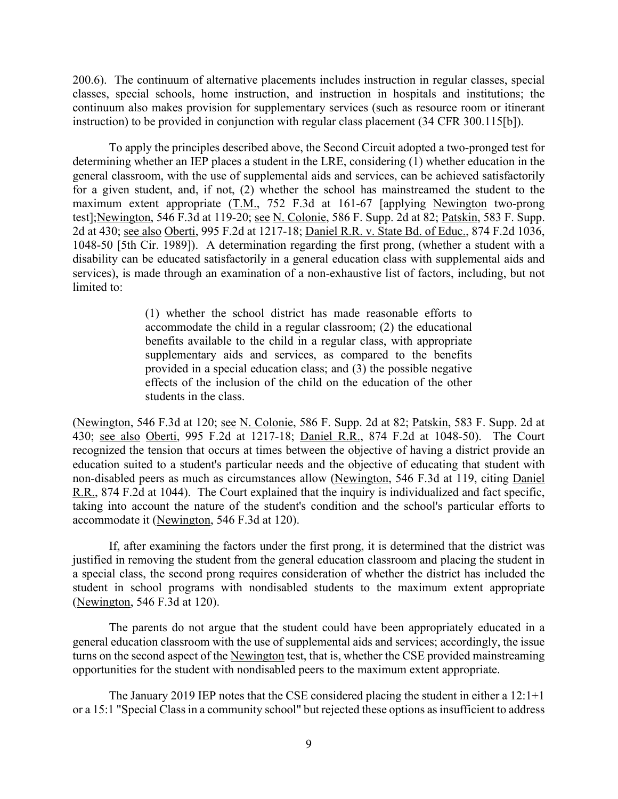200.6). The continuum of alternative placements includes instruction in regular classes, special classes, special schools, home instruction, and instruction in hospitals and institutions; the continuum also makes provision for supplementary services (such as resource room or itinerant instruction) to be provided in conjunction with regular class placement (34 CFR 300.115[b]).

maximum extent appropriate (T.M., 752 F.3d at 161-67 [applying Newington two-prong test];<u>Newington</u>, 546 F.3d at 119-20; <u>see N. Colonie</u>, 586 F. Supp. 2d at 82; <u>Patskin,</u> 583 F. Supp. To apply the principles described above, the Second Circuit adopted a two-pronged test for determining whether an IEP places a student in the LRE, considering (1) whether education in the general classroom, with the use of supplemental aids and services, can be achieved satisfactorily for a given student, and, if not, (2) whether the school has mainstreamed the student to the 2d at 430; see also Oberti, 995 F.2d at 1217-18; Daniel R.R. v. State Bd. of Educ., 874 F.2d 1036, 1048-50 [5th Cir. 1989]). A determination regarding the first prong, (whether a student with a disability can be educated satisfactorily in a general education class with supplemental aids and services), is made through an examination of a non-exhaustive list of factors, including, but not limited to:

> provided in a special education class; and (3) the possible negative (1) whether the school district has made reasonable efforts to accommodate the child in a regular classroom; (2) the educational benefits available to the child in a regular class, with appropriate supplementary aids and services, as compared to the benefits effects of the inclusion of the child on the education of the other students in the class.

(Newington, 546 F.3d at 120; see N. Colonie, 586 F. Supp. 2d at 82; Patskin, 583 F. Supp. 2d at 430; <u>see also Oberti,</u> 995 F.2d at 1217-18; <u>Daniel R.R.</u>, 874 F.2d at 1048-50). The Court non-disabled peers as much as circumstances allow (Newington, 546 F.3d at 119, citing Daniel recognized the tension that occurs at times between the objective of having a district provide an education suited to a student's particular needs and the objective of educating that student with R.R., 874 F.2d at 1044). The Court explained that the inquiry is individualized and fact specific, taking into account the nature of the student's condition and the school's particular efforts to accommodate it (Newington, 546 F.3d at 120).

 (Newington, 546 F.3d at 120). If, after examining the factors under the first prong, it is determined that the district was justified in removing the student from the general education classroom and placing the student in a special class, the second prong requires consideration of whether the district has included the student in school programs with nondisabled students to the maximum extent appropriate

 The parents do not argue that the student could have been appropriately educated in a turns on the second aspect of the Newington test, that is, whether the CSE provided mainstreaming opportunities for the student with nondisabled peers to the maximum extent appropriate. general education classroom with the use of supplemental aids and services; accordingly, the issue

 The January 2019 IEP notes that the CSE considered placing the student in either a 12:1+1 or a 15:1 "Special Class in a community school" but rejected these options as insufficient to address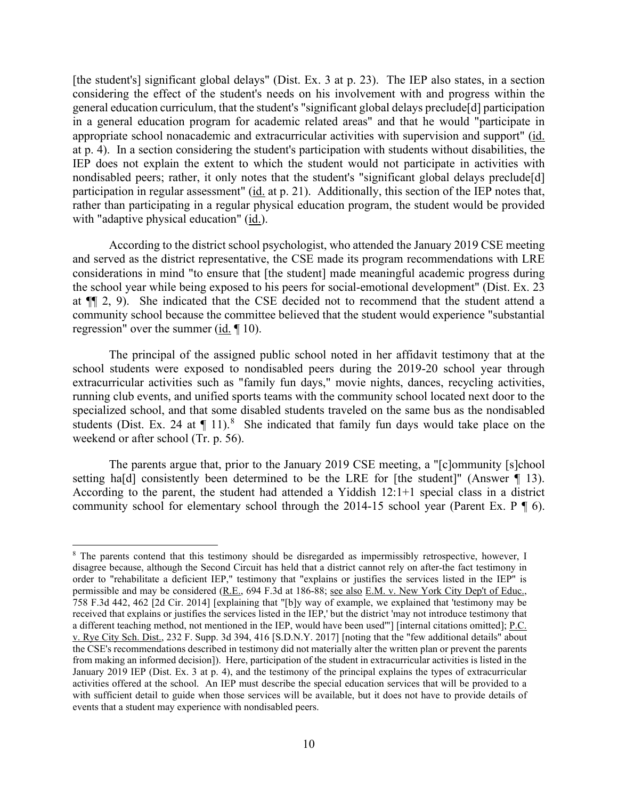considering the effect of the student's needs on his involvement with and progress within the at p. 4). In a section considering the student's participation with students without disabilities, the nondisabled peers; rather, it only notes that the student's "significant global delays preclude[d] participation in regular assessment" (id. at p. 21). Additionally, this section of the IEP notes that, with "adaptive physical education" (id.). [the student's] significant global delays" (Dist. Ex. 3 at p. 23). The IEP also states, in a section general education curriculum, that the student's "significant global delays preclude[d] participation in a general education program for academic related areas" and that he would "participate in appropriate school nonacademic and extracurricular activities with supervision and support" (id. IEP does not explain the extent to which the student would not participate in activities with rather than participating in a regular physical education program, the student would be provided

 at ¶¶ 2, 9). She indicated that the CSE decided not to recommend that the student attend a regression" over the summer  $(id. \P 10)$ . According to the district school psychologist, who attended the January 2019 CSE meeting and served as the district representative, the CSE made its program recommendations with LRE considerations in mind "to ensure that [the student] made meaningful academic progress during the school year while being exposed to his peers for social-emotional development" (Dist. Ex. 23 community school because the committee believed that the student would experience "substantial

students (Dist. Ex. 24 at  $\P$  11).<sup>[8](#page-9-0)</sup> She indicated that family fun days would take place on the The principal of the assigned public school noted in her affidavit testimony that at the school students were exposed to nondisabled peers during the 2019-20 school year through extracurricular activities such as "family fun days," movie nights, dances, recycling activities, running club events, and unified sports teams with the community school located next door to the specialized school, and that some disabled students traveled on the same bus as the nondisabled weekend or after school (Tr. p. 56).

setting hald consistently been determined to be the LRE for [the student]" (Answer 1 13). community school for elementary school through the 2014-15 school year (Parent Ex.  $P \nvert 6$ ). The parents argue that, prior to the January 2019 CSE meeting, a "[c]ommunity [s]chool According to the parent, the student had attended a Yiddish  $12:1+1$  special class in a district

<span id="page-9-0"></span> disagree because, although the Second Circuit has held that a district cannot rely on after-the fact testimony in from making an informed decision]). Here, participation of the student in extracurricular activities is listed in the activities offered at the school. An IEP must describe the special education services that will be provided to a with sufficient detail to guide when those services will be available, but it does not have to provide details of  $\delta$  The parents contend that this testimony should be disregarded as impermissibly retrospective, however, I order to "rehabilitate a deficient IEP," testimony that "explains or justifies the services listed in the IEP" is permissible and may be considered (R.E., 694 F.3d at 186-88; see also E.M. v. New York City Dep't of Educ., 758 F.3d 442, 462 [2d Cir. 2014] [explaining that "[b]y way of example, we explained that 'testimony may be received that explains or justifies the services listed in the IEP,' but the district 'may not introduce testimony that a different teaching method, not mentioned in the IEP, would have been used'"] [internal citations omitted]; P.C. v. Rye City Sch. Dist., 232 F. Supp. 3d 394, 416 [S.D.N.Y. 2017] [noting that the "few additional details" about the CSE's recommendations described in testimony did not materially alter the written plan or prevent the parents January 2019 IEP (Dist. Ex. 3 at p. 4), and the testimony of the principal explains the types of extracurricular events that a student may experience with nondisabled peers.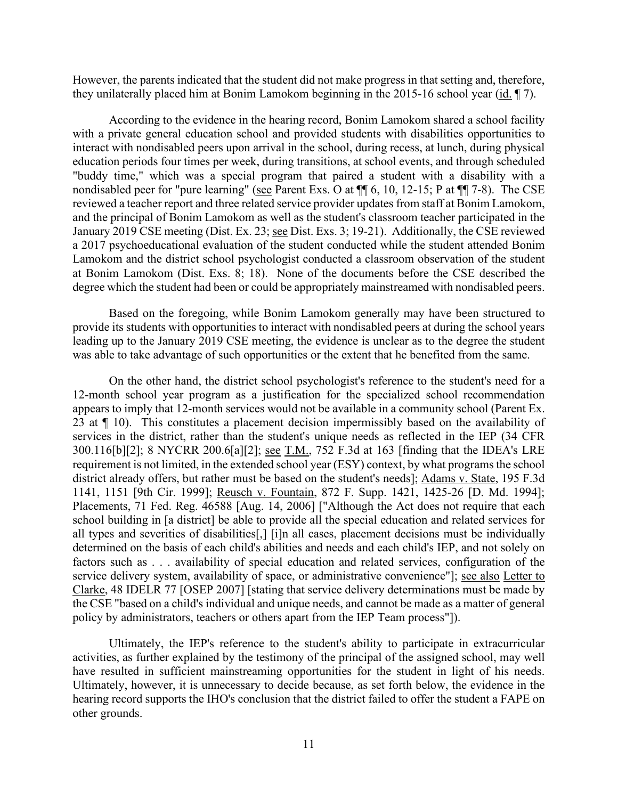they unilaterally placed him at Bonim Lamokom beginning in the 2015-16 school year  $(id. \P 7)$ . However, the parents indicated that the student did not make progress in that setting and, therefore,

 with a private general education school and provided students with disabilities opportunities to nondisabled peer for "pure learning" (see Parent Exs. O at  $\P$  6, 10, 12-15; P at  $\P$  7-8). The CSE reviewed a teacher report and three related service provider updates from staff at Bonim Lamokom, Lamokom and the district school psychologist conducted a classroom observation of the student at Bonim Lamokom (Dist. Exs. 8; 18). None of the documents before the CSE described the degree which the student had been or could be appropriately mainstreamed with nondisabled peers. According to the evidence in the hearing record, Bonim Lamokom shared a school facility interact with nondisabled peers upon arrival in the school, during recess, at lunch, during physical education periods four times per week, during transitions, at school events, and through scheduled "buddy time," which was a special program that paired a student with a disability with a and the principal of Bonim Lamokom as well as the student's classroom teacher participated in the January 2019 CSE meeting (Dist. Ex. 23; see Dist. Exs. 3; 19-21). Additionally, the CSE reviewed a 2017 psychoeducational evaluation of the student conducted while the student attended Bonim

Based on the foregoing, while Bonim Lamokom generally may have been structured to provide its students with opportunities to interact with nondisabled peers at during the school years leading up to the January 2019 CSE meeting, the evidence is unclear as to the degree the student

was able to take advantage of such opportunities or the extent that he benefited from the same.<br>On the other hand, the district school psychologist's reference to the student's need for a services in the district, rather than the student's unique needs as reflected in the IEP (34 CFR requirement is not limited, in the extended school year (ESY) context, by what programs the school all types and severities of disabilities[,] [i]n all cases, placement decisions must be individually determined on the basis of each child's abilities and needs and each child's IEP, and not solely on 12-month school year program as a justification for the specialized school recommendation appears to imply that 12-month services would not be available in a community school (Parent Ex. 23 at ¶ 10). This constitutes a placement decision impermissibly based on the availability of 300.116[b][2]; 8 NYCRR 200.6[a][2]; see T.M., 752 F.3d at 163 [finding that the IDEA's LRE district already offers, but rather must be based on the student's needs]; Adams v. State, 195 F.3d 1141, 1151 [9th Cir. 1999]; Reusch v. Fountain, 872 F. Supp. 1421, 1425-26 [D. Md. 1994]; Placements, 71 Fed. Reg. 46588 [Aug. 14, 2006] ["Although the Act does not require that each school building in [a district] be able to provide all the special education and related services for factors such as . . . availability of special education and related services, configuration of the service delivery system, availability of space, or administrative convenience"]; see also Letter to Clarke, 48 IDELR 77 [OSEP 2007] [stating that service delivery determinations must be made by the CSE "based on a child's individual and unique needs, and cannot be made as a matter of general policy by administrators, teachers or others apart from the IEP Team process"]).

 Ultimately, the IEP's reference to the student's ability to participate in extracurricular activities, as further explained by the testimony of the principal of the assigned school, may well have resulted in sufficient mainstreaming opportunities for the student in light of his needs. Ultimately, however, it is unnecessary to decide because, as set forth below, the evidence in the hearing record supports the IHO's conclusion that the district failed to offer the student a FAPE on other grounds.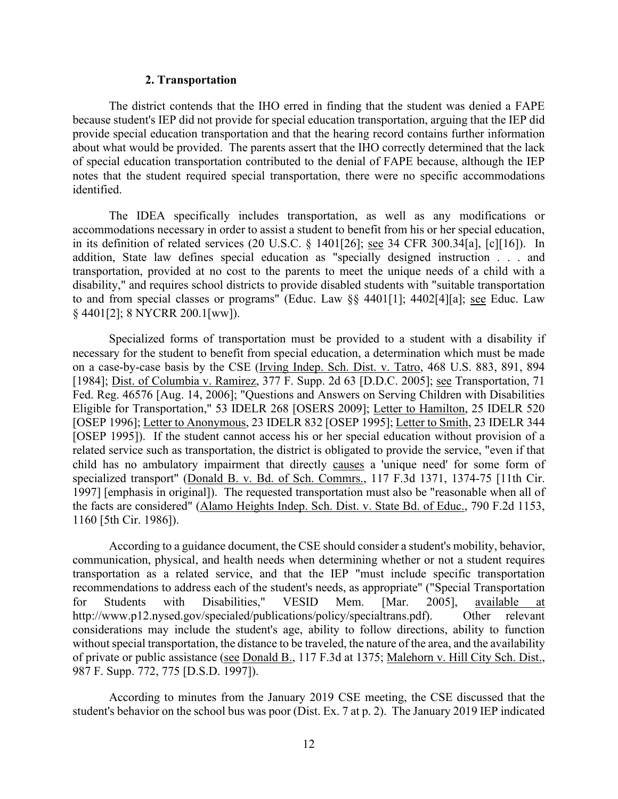#### **2. Transportation**

 The district contends that the IHO erred in finding that the student was denied a FAPE because student's IEP did not provide for special education transportation, arguing that the IEP did about what would be provided. The parents assert that the IHO correctly determined that the lack of special education transportation contributed to the denial of FAPE because, although the IEP provide special education transportation and that the hearing record contains further information notes that the student required special transportation, there were no specific accommodations identified.

in its definition of related services (20 U.S.C.  $\S$  1401[26]; see 34 CFR 300.34[a], [c][16]). In to and from special classes or programs" (Educ. Law §§ 4401[1]; 4402[4][a]; see Educ. Law The IDEA specifically includes transportation, as well as any modifications or accommodations necessary in order to assist a student to benefit from his or her special education, addition, State law defines special education as "specially designed instruction . . . and transportation, provided at no cost to the parents to meet the unique needs of a child with a disability," and requires school districts to provide disabled students with "suitable transportation § 4401[2]; 8 NYCRR 200.1[ww]).

on a case-by-case basis by the CSE (Irving Indep. Sch. Dist. v. Tatro, 468 U.S. 883, 891, 894 child has no ambulatory impairment that directly causes a 'unique need' for some form of Specialized forms of transportation must be provided to a student with a disability if necessary for the student to benefit from special education, a determination which must be made [1984]; Dist. of Columbia v. Ramirez, 377 F. Supp. 2d 63 [D.D.C. 2005]; see Transportation, 71 Fed. Reg. 46576 [Aug. 14, 2006]; "Questions and Answers on Serving Children with Disabilities Eligible for Transportation," 53 IDELR 268 [OSERS 2009]; Letter to Hamilton, 25 IDELR 520 [OSEP 1996]; Letter to Anonymous, 23 IDELR 832 [OSEP 1995]; Letter to Smith, 23 IDELR 344 [OSEP 1995]). If the student cannot access his or her special education without provision of a related service such as transportation, the district is obligated to provide the service, "even if that specialized transport" (Donald B. v. Bd. of Sch. Commrs., 117 F.3d 1371, 1374-75 [11th Cir. 1997] [emphasis in original]). The requested transportation must also be "reasonable when all of the facts are considered" (Alamo Heights Indep. Sch. Dist. v. State Bd. of Educ., 790 F.2d 1153, 1160 [5th Cir. 1986]).

 communication, physical, and health needs when determining whether or not a student requires According to a guidance document, the CSE should consider a student's mobility, behavior, transportation as a related service, and that the IEP "must include specific transportation recommendations to address each of the student's needs, as appropriate" ("Special Transportation for Students with Disabilities," VESID Mem. [Mar. 2005], available at [http://www.p12.nysed.gov/specialed/publications/policy/specialtrans.pdf\)](http://www.p12.nysed.gov/specialed/publications/policy/specialtrans.pdf). Other relevant considerations may include the student's age, ability to follow directions, ability to function without special transportation, the distance to be traveled, the nature of the area, and the availability of private or public assistance (see Donald B., 117 F.3d at 1375; Malehorn v. Hill City Sch. Dist., 987 F. Supp. 772, 775 [D.S.D. 1997]).

 student's behavior on the school bus was poor (Dist. Ex. 7 at p. 2). The January 2019 IEP indicated According to minutes from the January 2019 CSE meeting, the CSE discussed that the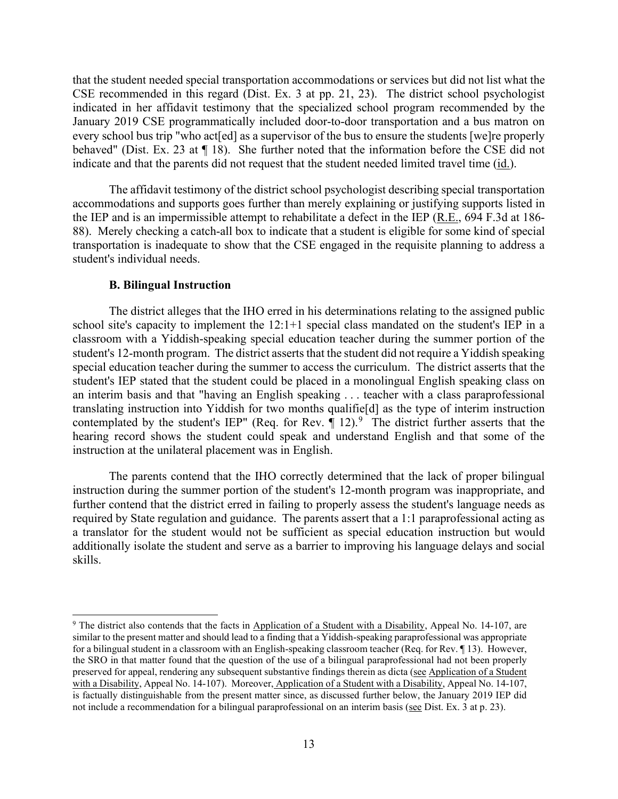behaved" (Dist. Ex. 23 at ¶ 18). She further noted that the information before the CSE did not that the student needed special transportation accommodations or services but did not list what the CSE recommended in this regard (Dist. Ex. 3 at pp. 21, 23). The district school psychologist indicated in her affidavit testimony that the specialized school program recommended by the January 2019 CSE programmatically included door-to-door transportation and a bus matron on every school bus trip "who act[ed] as a supervisor of the bus to ensure the students [we]re properly indicate and that the parents did not request that the student needed limited travel time (id.).

the IEP and is an impermissible attempt to rehabilitate a defect in the IEP ( $R.E., 694 F.3d$  at 186- 88). Merely checking a catch-all box to indicate that a student is eligible for some kind of special transportation is inadequate to show that the CSE engaged in the requisite planning to address a student's individual needs. The affidavit testimony of the district school psychologist describing special transportation accommodations and supports goes further than merely explaining or justifying supports listed in

#### **B. Bilingual Instruction**

 school site's capacity to implement the 12:1+1 special class mandated on the student's IEP in a special education teacher during the summer to access the curriculum. The district asserts that the student's IEP stated that the student could be placed in a monolingual English speaking class on an interim basis and that "having an English speaking . . . teacher with a class paraprofessional translating instruction into Yiddish for two months qualifie[d] as the type of interim instruction contemplated by the student's IEP" (Req. for Rev.  $\P$  12).<sup>[9](#page-12-0)</sup> The district further asserts that the The district alleges that the IHO erred in his determinations relating to the assigned public classroom with a Yiddish-speaking special education teacher during the summer portion of the student's 12-month program. The district asserts that the student did not require a Yiddish speaking hearing record shows the student could speak and understand English and that some of the instruction at the unilateral placement was in English.

 required by State regulation and guidance. The parents assert that a 1:1 paraprofessional acting as The parents contend that the IHO correctly determined that the lack of proper bilingual instruction during the summer portion of the student's 12-month program was inappropriate, and further contend that the district erred in failing to properly assess the student's language needs as a translator for the student would not be sufficient as special education instruction but would additionally isolate the student and serve as a barrier to improving his language delays and social skills.

<span id="page-12-0"></span><sup>&</sup>lt;sup>9</sup> The district also contends that the facts in Application of a Student with a Disability, Appeal No. 14-107, are with a Disability, Appeal No. 14-107). Moreover, Application of a Student with a Disability, Appeal No. 14-107, not include a recommendation for a bilingual paraprofessional on an interim basis (see Dist. Ex. 3 at p. 23). similar to the present matter and should lead to a finding that a Yiddish-speaking paraprofessional was appropriate for a bilingual student in a classroom with an English-speaking classroom teacher (Req. for Rev. ¶ 13). However, the SRO in that matter found that the question of the use of a bilingual paraprofessional had not been properly preserved for appeal, rendering any subsequent substantive findings therein as dicta (see Application of a Student is factually distinguishable from the present matter since, as discussed further below, the January 2019 IEP did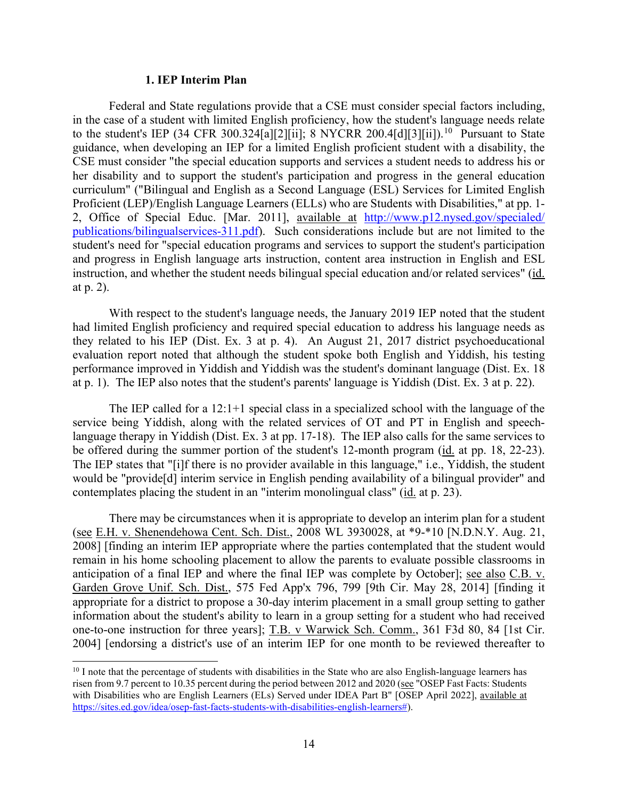#### **1. IEP Interim Plan**

 Federal and State regulations provide that a CSE must consider special factors including, to the student's IEP (34 CFR 300.324[a][2][ii]; 8 NYCRR 200.4[d][3][ii]).<sup>[10](#page-13-0)</sup> Pursuant to State CSE must consider "the special education supports and services a student needs to address his or in the case of a student with limited English proficiency, how the student's language needs relate guidance, when developing an IEP for a limited English proficient student with a disability, the her disability and to support the student's participation and progress in the general education curriculum" ("Bilingual and English as a Second Language (ESL) Services for Limited English Proficient (LEP)/English Language Learners (ELLs) who are Students with Disabilities," at pp. 1- 2, Office of Special Educ. [Mar. 2011], available at http://www.p12.nysed.gov/specialed/ [publications/bilingualservices-311.pdf\)](http://www.p12.nysed.gov/specialed/%20publications/bilingualservices-311.pdf). Such considerations include but are not limited to the student's need for "special education programs and services to support the student's participation and progress in English language arts instruction, content area instruction in English and ESL instruction, and whether the student needs bilingual special education and/or related services" (id. at p. 2).

 they related to his IEP (Dist. Ex. 3 at p. 4). An August 21, 2017 district psychoeducational With respect to the student's language needs, the January 2019 IEP noted that the student had limited English proficiency and required special education to address his language needs as evaluation report noted that although the student spoke both English and Yiddish, his testing performance improved in Yiddish and Yiddish was the student's dominant language (Dist. Ex. 18 at p. 1). The IEP also notes that the student's parents' language is Yiddish (Dist. Ex. 3 at p. 22).

 service being Yiddish, along with the related services of OT and PT in English and speech- language therapy in Yiddish (Dist. Ex. 3 at pp. 17-18). The IEP also calls for the same services to would be "provide[d] interim service in English pending availability of a bilingual provider" and contemplates placing the student in an "interim monolingual class" (id. at p. 23). The IEP called for a 12:1+1 special class in a specialized school with the language of the be offered during the summer portion of the student's 12-month program (id. at pp. 18, 22-23). The IEP states that "[i]f there is no provider available in this language," i.e., Yiddish, the student

(see E.H. v. Shenendehowa Cent. Sch. Dist., 2008 WL 3930028, at \*9-\*10 [N.D.N.Y. Aug. 21, appropriate for a district to propose a 30-day interim placement in a small group setting to gather 2004] [endorsing a district's use of an interim IEP for one month to be reviewed thereafter to There may be circumstances when it is appropriate to develop an interim plan for a student 2008] [finding an interim IEP appropriate where the parties contemplated that the student would remain in his home schooling placement to allow the parents to evaluate possible classrooms in anticipation of a final IEP and where the final IEP was complete by October]; see also C.B. v. Garden Grove Unif. Sch. Dist., 575 Fed App'x 796, 799 [9th Cir. May 28, 2014] [finding it information about the student's ability to learn in a group setting for a student who had received one-to-one instruction for three years]; T.B. v Warwick Sch. Comm., 361 F3d 80, 84 [1st Cir.

<span id="page-13-0"></span>risen from 9.7 percent to 10.35 percent during the period between 2012 and 2020 (see "OSEP Fast Facts: Students <sup>10</sup> I note that the percentage of students with disabilities in the State who are also English-language learners has with Disabilities who are English Learners (ELs) Served under IDEA Part B" [OSEP April 2022], available at [https://sites.ed.gov/idea/osep-fast-facts-students-with-disabilities-english-learners#\)](https://sites.ed.gov/idea/osep-fast-facts-students-with-disabilities-english-learners%23).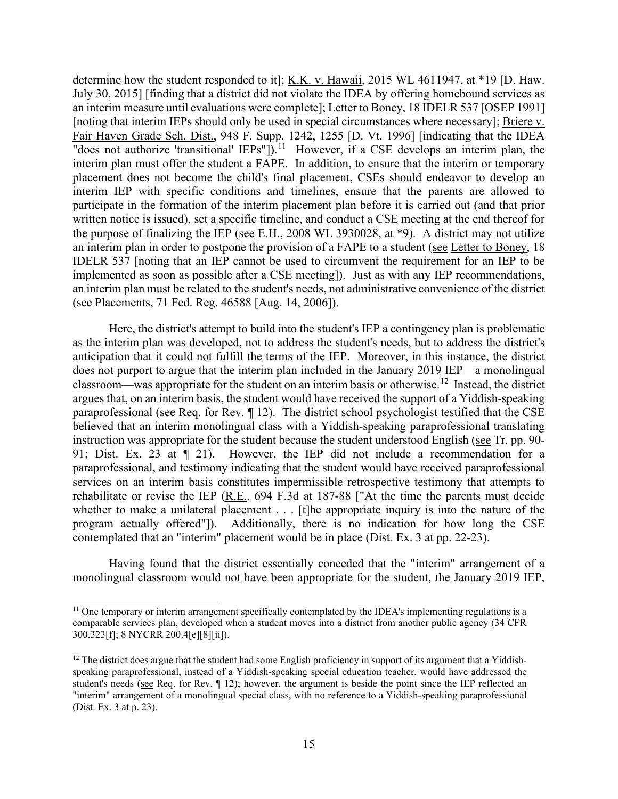"does not authorize 'transitional'  $IEPs$ "]).<sup>11</sup> However, if a CSE develops an interim plan, the interim IEP with specific conditions and timelines, ensure that the parents are allowed to the purpose of finalizing the IEP (see  $E.H., 2008$  WL 3930028, at \*9). A district may not utilize an interim plan in order to postpone the provision of a FAPE to a student (see Letter to Boney, 18 implemented as soon as possible after a CSE meeting]). Just as with any IEP recommendations, determine how the student responded to it]; K.K. v. Hawaii, 2015 WL 4611947, at \*19 [D. Haw. July 30, 2015] [finding that a district did not violate the IDEA by offering homebound services as an interim measure until evaluations were complete]; Letter to Boney, 18 IDELR 537 [OSEP 1991] [noting that interim IEPs should only be used in special circumstances where necessary]; Briere v. Fair Haven Grade Sch. Dist., 948 F. Supp. 1242, 1255 [D. Vt. 1996] [indicating that the IDEA interim plan must offer the student a FAPE. In addition, to ensure that the interim or temporary placement does not become the child's final placement, CSEs should endeavor to develop an participate in the formation of the interim placement plan before it is carried out (and that prior written notice is issued), set a specific timeline, and conduct a CSE meeting at the end thereof for IDELR 537 [noting that an IEP cannot be used to circumvent the requirement for an IEP to be an interim plan must be related to the student's needs, not administrative convenience of the district (see Placements, 71 Fed. Reg. 46588 [Aug. 14, 2006]).

 as the interim plan was developed, not to address the student's needs, but to address the district's classroom—was appropriate for the student on an interim basis or otherwise.<sup>12</sup> Instead, the district paraprofessional (see Req. for Rev. 112). The district school psychologist testified that the CSE 91; Dist. Ex. 23 at ¶ 21). However, the IEP did not include a recommendation for a program actually offered"]). Additionally, there is no indication for how long the CSE Here, the district's attempt to build into the student's IEP a contingency plan is problematic anticipation that it could not fulfill the terms of the IEP. Moreover, in this instance, the district does not purport to argue that the interim plan included in the January 2019 IEP—a monolingual argues that, on an interim basis, the student would have received the support of a Yiddish-speaking believed that an interim monolingual class with a Yiddish-speaking paraprofessional translating instruction was appropriate for the student because the student understood English (see Tr. pp. 90 paraprofessional, and testimony indicating that the student would have received paraprofessional services on an interim basis constitutes impermissible retrospective testimony that attempts to rehabilitate or revise the IEP (R.E., 694 F.3d at 187-88 ["At the time the parents must decide whether to make a unilateral placement . . . [t]he appropriate inquiry is into the nature of the contemplated that an "interim" placement would be in place (Dist. Ex. 3 at pp. 22-23).

Having found that the district essentially conceded that the "interim" arrangement of a monolingual classroom would not have been appropriate for the student, the January 2019 IEP,

<span id="page-14-0"></span><sup>&</sup>lt;sup>11</sup> One temporary or interim arrangement specifically contemplated by the IDEA's implementing regulations is a comparable services plan, developed when a student moves into a district from another public agency (34 CFR 300.323[f]; 8 NYCRR 200.4[e][8][ii]).

<span id="page-14-1"></span>student's needs (see Req. for Rev.  $\P$  12); however, the argument is beside the point since the IEP reflected an  $12$  The district does argue that the student had some English proficiency in support of its argument that a Yiddishspeaking paraprofessional, instead of a Yiddish-speaking special education teacher, would have addressed the "interim" arrangement of a monolingual special class, with no reference to a Yiddish-speaking paraprofessional (Dist. Ex. 3 at p. 23).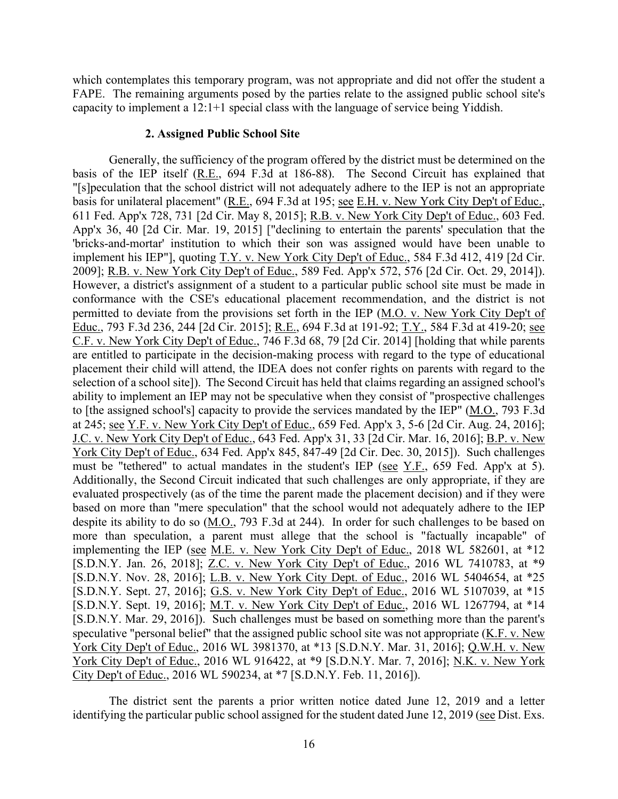which contemplates this temporary program, was not appropriate and did not offer the student a FAPE. The remaining arguments posed by the parties relate to the assigned public school site's capacity to implement a 12:1+1 special class with the language of service being Yiddish.

### **2. Assigned Public School Site**

basis for unilateral placement" (R.E., 694 F.3d at 195; see E.H. v. New York City Dep't of Educ., 2009]; R.B. v. New York City Dep't of Educ., 589 Fed. App'x 572, 576 [2d Cir. Oct. 29, 2014]). Educ., 793 F.3d 236, 244 [2d Cir. 2015]; R.E., 694 F.3d at 191-92; T.Y., 584 F.3d at 419-20; see placement their child will attend, the IDEA does not confer rights on parents with regard to the at 245; see Y.F. v. New York City Dep't of Educ., 659 Fed. App'x 3, 5-6 [2d Cir. Aug. 24, 2016]; J.C. v. New York City Dep't of Educ., 643 Fed. App'x 31, 33 [2d Cir. Mar. 16, 2016]; B.P. v. New based on more than "mere speculation" that the school would not adequately adhere to the IEP Generally, the sufficiency of the program offered by the district must be determined on the basis of the IEP itself (R.E., 694 F.3d at 186-88). The Second Circuit has explained that "[s]peculation that the school district will not adequately adhere to the IEP is not an appropriate 611 Fed. App'x 728, 731 [2d Cir. May 8, 2015]; R.B. v. New York City Dep't of Educ., 603 Fed. App'x 36, 40 [2d Cir. Mar. 19, 2015] ["declining to entertain the parents' speculation that the 'bricks-and-mortar' institution to which their son was assigned would have been unable to implement his IEP"], quoting T.Y. v. New York City Dep't of Educ., 584 F.3d 412, 419 [2d Cir. However, a district's assignment of a student to a particular public school site must be made in conformance with the CSE's educational placement recommendation, and the district is not permitted to deviate from the provisions set forth in the IEP (M.O. v. New York City Dep't of C.F. v. New York City Dep't of Educ., 746 F.3d 68, 79 [2d Cir. 2014] [holding that while parents are entitled to participate in the decision-making process with regard to the type of educational selection of a school site]). The Second Circuit has held that claims regarding an assigned school's ability to implement an IEP may not be speculative when they consist of "prospective challenges to [the assigned school's] capacity to provide the services mandated by the IEP" (M.O., 793 F.3d York City Dep't of Educ., 634 Fed. App'x 845, 847-49 [2d Cir. Dec. 30, 2015]). Such challenges must be "tethered" to actual mandates in the student's IEP (see Y.F., 659 Fed. App'x at 5). Additionally, the Second Circuit indicated that such challenges are only appropriate, if they are evaluated prospectively (as of the time the parent made the placement decision) and if they were despite its ability to do so (M.O., 793 F.3d at 244). In order for such challenges to be based on more than speculation, a parent must allege that the school is "factually incapable" of implementing the IEP (see M.E. v. New York City Dep't of Educ., 2018 WL 582601, at \*12 [S.D.N.Y. Jan. 26, 2018]; Z.C. v. New York City Dep't of Educ., 2016 WL 7410783, at \*9 [S.D.N.Y. Nov. 28, 2016]; L.B. v. New York City Dept. of Educ., 2016 WL 5404654, at \*25 [S.D.N.Y. Sept. 27, 2016]; G.S. v. New York City Dep't of Educ., 2016 WL 5107039, at \*15 [S.D.N.Y. Sept. 19, 2016]; M.T. v. New York City Dep't of Educ., 2016 WL 1267794, at \*14 [S.D.N.Y. Mar. 29, 2016]). Such challenges must be based on something more than the parent's speculative "personal belief" that the assigned public school site was not appropriate (K.F. v. New York City Dep't of Educ., 2016 WL 3981370, at \*13 [S.D.N.Y. Mar. 31, 2016]; Q.W.H. v. New York City Dep't of Educ., 2016 WL 916422, at \*9 [S.D.N.Y. Mar. 7, 2016]; N.K. v. New York City Dep't of Educ., 2016 WL 590234, at \*7 [S.D.N.Y. Feb. 11, 2016]).

The district sent the parents a prior written notice dated June 12, 2019 and a letter identifying the particular public school assigned for the student dated June 12, 2019 (see Dist. Exs.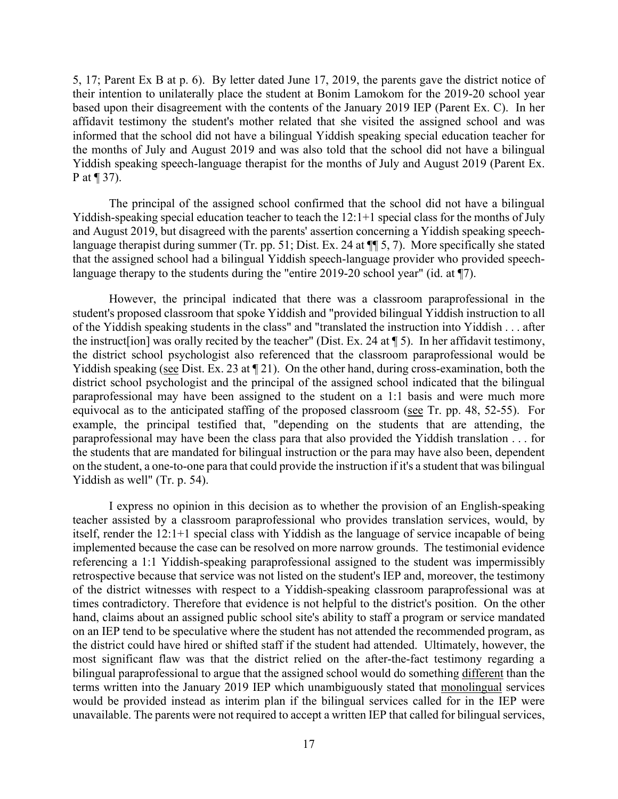P at  $\P$  37). 5, 17; Parent Ex B at p. 6). By letter dated June 17, 2019, the parents gave the district notice of their intention to unilaterally place the student at Bonim Lamokom for the 2019-20 school year based upon their disagreement with the contents of the January 2019 IEP (Parent Ex. C). In her affidavit testimony the student's mother related that she visited the assigned school and was informed that the school did not have a bilingual Yiddish speaking special education teacher for the months of July and August 2019 and was also told that the school did not have a bilingual Yiddish speaking speech-language therapist for the months of July and August 2019 (Parent Ex.

 The principal of the assigned school confirmed that the school did not have a bilingual language therapist during summer (Tr. pp. 51; Dist. Ex. 24 at ¶¶ 5, 7). More specifically she stated language therapy to the students during the "entire 2019-20 school year" (id. at ¶7). Yiddish-speaking special education teacher to teach the 12:1+1 special class for the months of July and August 2019, but disagreed with the parents' assertion concerning a Yiddish speaking speechthat the assigned school had a bilingual Yiddish speech-language provider who provided speech-

 the instruct[ion] was orally recited by the teacher" (Dist. Ex. 24 at ¶ 5). In her affidavit testimony, Yiddish speaking (see Dist. Ex. 23 at  $\P$  21). On the other hand, during cross-examination, both the district school psychologist and the principal of the assigned school indicated that the bilingual paraprofessional may have been assigned to the student on a 1:1 basis and were much more paraprofessional may have been the class para that also provided the Yiddish translation . . . for However, the principal indicated that there was a classroom paraprofessional in the student's proposed classroom that spoke Yiddish and "provided bilingual Yiddish instruction to all of the Yiddish speaking students in the class" and "translated the instruction into Yiddish . . . after the district school psychologist also referenced that the classroom paraprofessional would be equivocal as to the anticipated staffing of the proposed classroom (see Tr. pp. 48, 52-55). For example, the principal testified that, "depending on the students that are attending, the the students that are mandated for bilingual instruction or the para may have also been, dependent on the student, a one-to-one para that could provide the instruction if it's a student that was bilingual Yiddish as well" (Tr. p. 54).

 teacher assisted by a classroom paraprofessional who provides translation services, would, by itself, render the 12:1+1 special class with Yiddish as the language of service incapable of being implemented because the case can be resolved on more narrow grounds. The testimonial evidence times contradictory. Therefore that evidence is not helpful to the district's position. On the other terms written into the January 2019 IEP which unambiguously stated that monolingual services would be provided instead as interim plan if the bilingual services called for in the IEP were unavailable. The parents were not required to accept a written IEP that called for bilingual services, I express no opinion in this decision as to whether the provision of an English-speaking referencing a 1:1 Yiddish-speaking paraprofessional assigned to the student was impermissibly retrospective because that service was not listed on the student's IEP and, moreover, the testimony of the district witnesses with respect to a Yiddish-speaking classroom paraprofessional was at hand, claims about an assigned public school site's ability to staff a program or service mandated on an IEP tend to be speculative where the student has not attended the recommended program, as the district could have hired or shifted staff if the student had attended. Ultimately, however, the most significant flaw was that the district relied on the after-the-fact testimony regarding a bilingual paraprofessional to argue that the assigned school would do something different than the